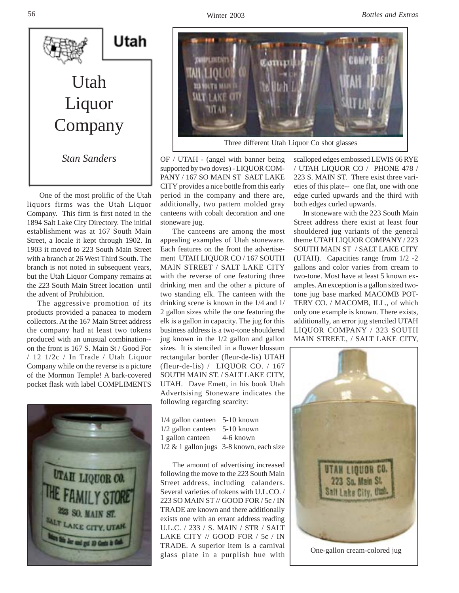

 One of the most prolific of the Utah liquors firms was the Utah Liquor Company. This firm is first noted in the 1894 Salt Lake City Directory. The initial establishment was at 167 South Main Street, a locale it kept through 1902. In 1903 it moved to 223 South Main Street with a branch at 26 West Third South. The branch is not noted in subsequent years, but the Utah Liquor Company remains at the 223 South Main Street location until the advent of Prohibition.

 The aggressive promotion of its products provided a panacea to modern collectors. At the 167 Main Street address the company had at least two tokens produced with an unusual combination- on the front is 167 S. Main St / Good For / 12 1/2c / In Trade / Utah Liquor Company while on the reverse is a picture of the Mormon Temple! A bark-covered pocket flask with label COMPLIMENTS





OF / UTAH - (angel with banner being supported by two doves) - LIQUOR COM-PANY / 167 SO MAIN ST SALT LAKE CITY provides a nice bottle from this early period in the company and there are, additionally, two pattern molded gray canteens with cobalt decoration and one stoneware jug.

 The canteens are among the most appealing examples of Utah stoneware. Each features on the front the advertisement UTAH LIQUOR CO / 167 SOUTH MAIN STREET / SALT LAKE CITY with the reverse of one featuring three drinking men and the other a picture of two standing elk. The canteen with the drinking scene is known in the 1/4 and 1/ 2 gallon sizes while the one featuring the elk is a gallon in capacity. The jug for this business address is a two-tone shouldered jug known in the 1/2 gallon and gallon sizes. It is stenciled in a flower blossum rectangular border (fleur-de-lis) UTAH (fleur-de-lis) / LIQUOR CO. / 167 SOUTH MAIN ST. / SALT LAKE CITY, UTAH. Dave Emett, in his book Utah Advertsising Stoneware indicates the following regarding scarcity:

| 1/4 gallon canteen 5-10 known               |
|---------------------------------------------|
| $1/2$ gallon canteen 5-10 known             |
| 1 gallon canteen 4-6 known                  |
| $1/2 \& 1$ gallon jugs 3-8 known, each size |
|                                             |

 The amount of advertising increased following the move to the 223 South Main Street address, including calanders. Several varieties of tokens with U.L.CO. / 223 SO MAIN ST // GOOD FOR / 5c / IN TRADE are known and there additionally exists one with an errant address reading U.L.C. / 233 / S. MAIN / STR / SALT LAKE CITY // GOOD FOR / 5c / IN TRADE. A superior item is a carnival glass plate in a purplish hue with scalloped edges embossed LEWIS 66 RYE / UTAH LIQUOR CO / PHONE 478 / 223 S. MAIN ST. There exist three varieties of this plate-- one flat, one with one edge curled upwards and the third with both edges curled upwards.

 In stoneware with the 223 South Main Street address there exist at least four shouldered jug variants of the general theme UTAH LIQUOR COMPANY / 223 SOUTH MAIN ST / SALT LAKE CITY (UTAH). Capacities range from 1/2 -2 gallons and color varies from cream to two-tone. Most have at least 5 known examples. An exception is a gallon sized twotone jug base marked MACOMB POT-TERY CO. / MACOMB, ILL., of which only one example is known. There exists, additionally, an error jug stenciled UTAH LIQUOR COMPANY / 323 SOUTH MAIN STREET., / SALT LAKE CITY,



One-gallon cream-colored jug